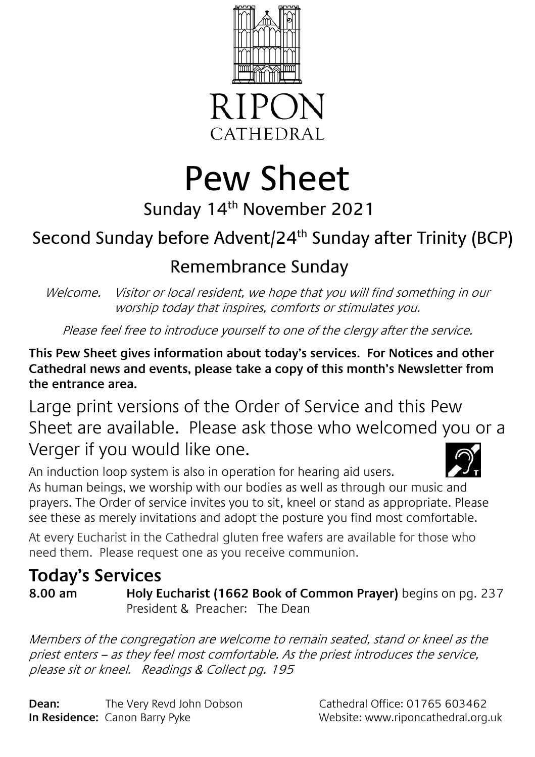

**CATHEDRAL** 

# Pew Sheet

# Sunday 14th November 2021

# Second Sunday before Advent/24<sup>th</sup> Sunday after Trinity (BCP)

## Remembrance Sunday

Welcome. Visitor or local resident, we hope that you will find something in our worship today that inspires, comforts or stimulates you.

Please feel free to introduce yourself to one of the clergy after the service.

**This Pew Sheet gives information about today's services. For Notices and other Cathedral news and events, please take a copy of this month's Newsletter from the entrance area.** 

Large print versions of the Order of Service and this Pew Sheet are available. Please ask those who welcomed you or a Verger if you would like one.

An induction loop system is also in operation for hearing aid users. As human beings, we worship with our bodies as well as through our music and prayers. The Order of service invites you to sit, kneel or stand as appropriate. Please see these as merely invitations and adopt the posture you find most comfortable.

At every Eucharist in the Cathedral gluten free wafers are available for those who need them. Please request one as you receive communion.

## **Today's Services**

**8.00 am Holy Eucharist (1662 Book of Common Prayer)** begins on pg. 237 President & Preacher: The Dean

Members of the congregation are welcome to remain seated, stand or kneel as the priest enters – as they feel most comfortable. As the priest introduces the service, please sit or kneel. Readings & Collect pg. 195

**Dean:** The Very Revd John Dobson Cathedral Office: 01765 603462 **In Residence:** Canon Barry Pyke Website: www.riponcathedral.org.uk